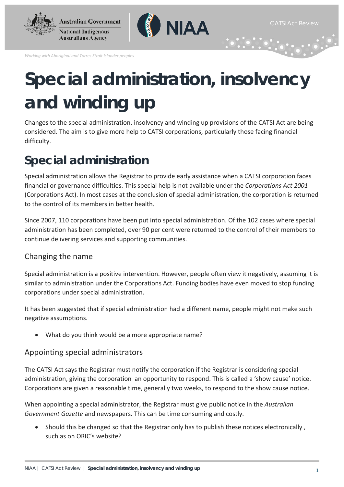



*Working with Aboriginal and Torres Strait Islander peoples*

# **Special administration, insolvency and winding up**

Changes to the special administration, insolvency and winding up provisions of the CATSI Act are being considered. The aim is to give more help to CATSI corporations, particularly those facing financial difficulty.

# **Special administration**

Special administration allows the Registrar to provide early assistance when a CATSI corporation faces financial or governance difficulties. This special help is not available under the *Corporations Act 2001*  (Corporations Act). In most cases at the conclusion of special administration, the corporation is returned to the control of its members in better health.

Since 2007, 110 corporations have been put into special administration. Of the 102 cases where special administration has been completed, over 90 per cent were returned to the control of their members to continue delivering services and supporting communities.

### Changing the name

Special administration is a positive intervention. However, people often view it negatively, assuming it is similar to administration under the Corporations Act. Funding bodies have even moved to stop funding corporations under special administration.

It has been suggested that if special administration had a different name, people might not make such negative assumptions.

• What do you think would be a more appropriate name?

### Appointing special administrators

The CATSI Act says the Registrar must notify the corporation if the Registrar is considering special administration, giving the corporation an opportunity to respond. This is called a 'show cause' notice. Corporations are given a reasonable time, generally two weeks, to respond to the show cause notice.

When appointing a special administrator, the Registrar must give public notice in the *Australian Government Gazette* and newspapers. This can be time consuming and costly.

• Should this be changed so that the Registrar only has to publish these notices electronically , such as on ORIC's website?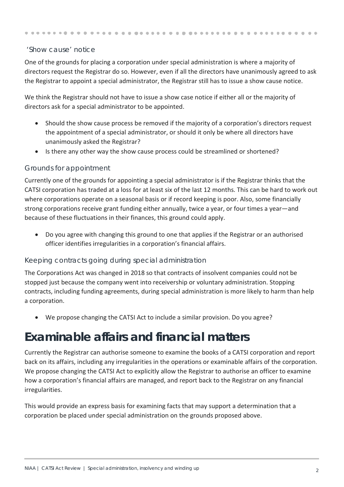#### . . . . . . . . . .

#### 'Show cause' notice

One of the grounds for placing a corporation under special administration is where a majority of directors request the Registrar do so. However, even if all the directors have unanimously agreed to ask the Registrar to appoint a special administrator, the Registrar still has to issue a show cause notice.

We think the Registrar should not have to issue a show case notice if either all or the majority of directors ask for a special administrator to be appointed.

- Should the show cause process be removed if the majority of a corporation's directors request the appointment of a special administrator, or should it only be where all directors have unanimously asked the Registrar?
- Is there any other way the show cause process could be streamlined or shortened?

#### Grounds for appointment

Currently one of the grounds for appointing a special administrator is if the Registrar thinks that the CATSI corporation has traded at a loss for at least six of the last 12 months. This can be hard to work out where corporations operate on a seasonal basis or if record keeping is poor. Also, some financially strong corporations receive grant funding either annually, twice a year, or four times a year—and because of these fluctuations in their finances, this ground could apply.

• Do you agree with changing this ground to one that applies if the Registrar or an authorised officer identifies irregularities in a corporation's financial affairs.

#### Keeping contracts going during special administration

The Corporations Act was changed in 2018 so that contracts of insolvent companies could not be stopped just because the company went into receivership or voluntary administration. Stopping contracts, including funding agreements, during special administration is more likely to harm than help a corporation.

• We propose changing the CATSI Act to include a similar provision. Do you agree?

## **Examinable affairs and financial matters**

Currently the Registrar can authorise someone to examine the books of a CATSI corporation and report back on its affairs, including any irregularities in the operations or examinable affairs of the corporation. We propose changing the CATSI Act to explicitly allow the Registrar to authorise an officer to examine how a corporation's financial affairs are managed, and report back to the Registrar on any financial irregularities.

This would provide an express basis for examining facts that may support a determination that a corporation be placed under special administration on the grounds proposed above.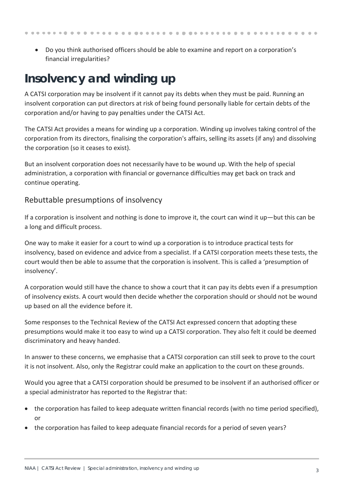- - Do you think authorised officers should be able to examine and report on a corporation's financial irregularities?

# **Insolvency and winding up**

A CATSI corporation may be insolvent if it cannot pay its debts when they must be paid. Running an insolvent corporation can put directors at risk of being found personally liable for certain debts of the corporation and/or having to pay penalties under the CATSI Act.

The CATSI Act provides a means for winding up a corporation. Winding up involves taking control of the corporation from its directors, finalising the corporation's affairs, selling its assets (if any) and dissolving the corporation (so it ceases to exist).

But an insolvent corporation does not necessarily have to be wound up. With the help of special administration, a corporation with financial or governance difficulties may get back on track and continue operating.

### Rebuttable presumptions of insolvency

If a corporation is insolvent and nothing is done to improve it, the court can wind it up—but this can be a long and difficult process.

One way to make it easier for a court to wind up a corporation is to introduce practical tests for insolvency, based on evidence and advice from a specialist. If a CATSI corporation meets these tests, the court would then be able to assume that the corporation is insolvent. This is called a 'presumption of insolvency'.

A corporation would still have the chance to show a court that it can pay its debts even if a presumption of insolvency exists. A court would then decide whether the corporation should or should not be wound up based on all the evidence before it.

Some responses to the Technical Review of the CATSI Act expressed concern that adopting these presumptions would make it too easy to wind up a CATSI corporation. They also felt it could be deemed discriminatory and heavy handed.

In answer to these concerns, we emphasise that a CATSI corporation can still seek to prove to the court it is not insolvent. Also, only the Registrar could make an application to the court on these grounds.

Would you agree that a CATSI corporation should be presumed to be insolvent if an authorised officer or a special administrator has reported to the Registrar that:

- the corporation has failed to keep adequate written financial records (with no time period specified), or
- the corporation has failed to keep adequate financial records for a period of seven years?